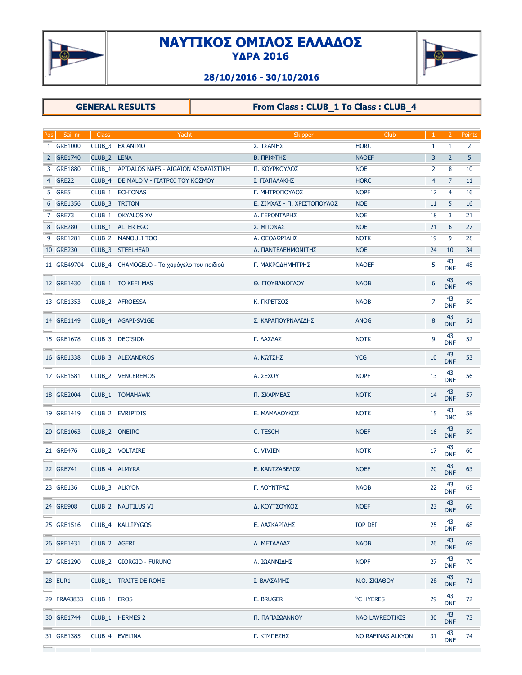

## ΝΑΥΤΙΚΟΣ ΟΜΙΛΟΣ ΕΛΛΑΔΟΣ ΥΔΡΑ 2016



## 28/10/2016 - 30/10/2016

## **GENERAL RESULTS**

## From Class: CLUB\_1 To Class: CLUB\_4

| $\mathbf{1}$<br>1 GRE1000<br>CLUB_3 EX ANIMO<br>Σ. ΤΣΑΜΗΣ<br><b>HORC</b><br>$\mathbf{1}$<br>$\overline{2}$<br>2 GRE1740<br>CLUB_2 LENA<br>Β. ΠΡΙΦΤΗΣ<br><b>NAOEF</b><br>3<br>5<br>$\overline{2}$<br>3 GRE1880<br>CLUB_1 APIDALOS NAFS - AIGAION ΑΣΦΑΛΙΣΤΙΚΗ<br><b>NOE</b><br>Π. ΚΟΥΡΚΟΥΛΟΣ<br>2<br>8<br>10<br>4 GRE22<br>CLUB_4 DE MALO V - ΓΙΑΤΡΟΙ ΤΟΥ ΚΟΣΜΟΥ<br><b>HORC</b><br>$\overline{4}$<br>$\overline{7}$<br>11<br>Ι. ΓΙΑΠΑΛΑΚΗΣ<br>5 GRE5<br>CLUB_1 ECHIONAS<br>Γ. ΜΗΤΡΟΠΟΥΛΟΣ<br><b>NOPF</b><br>12<br>4<br>16<br>6 GRE1356<br>CLUB_3 TRITON<br>Ε. ΣΙΜΧΑΣ - Π. ΧΡΙΣΤΟΠΟΥΛΟΣ<br><b>NOE</b><br>16<br>11<br>5<br>7 GRE73<br>CLUB_1 OKYALOS XV<br><b>NOE</b><br>Δ. ΓΕΡΟΝΤΑΡΗΣ<br>18<br>3<br>21<br>8 GRE280<br>CLUB_1 ALTER EGO<br>Σ. ΜΠΟΝΑΣ<br><b>NOE</b><br>21<br>6<br>27<br>CLUB_2 MANOULI TOO<br>9 GRE1281<br>Α. ΘΕΟΔΩΡΙΔΗΣ<br><b>NOTK</b><br>19<br>9<br>28<br>10 GRE230<br>CLUB_3 STEELHEAD<br><b>NOE</b><br>24<br>10<br>34<br>Δ. ΠΑΝΤΕΛΕΗΜΟΝΙΤΗΣ<br>43<br>5<br>11 GRE49704 CLUB_4 CHAMOGELO - Το χαμόγελο του παιδιού<br>Γ. ΜΑΚΡΟΔΗΜΗΤΡΗΣ<br>48<br><b>NAOEF</b><br><b>DNF</b><br>43<br>CLUB_1 TO KEFI MAS<br>Θ. ΓΙΟΥΒΑΝΟΓΛΟΥ<br><b>NAOB</b><br>6<br>49<br>12 GRE1430<br><b>DNF</b><br>43<br>$\overline{7}$<br>50<br>13 GRE1353<br>CLUB 2 AFROESSA<br>Κ. ΓΚΡΕΤΣΟΣ<br><b>NAOB</b><br><b>DNF</b><br>43<br>CLUB_4 AGAPI-SV1GE<br>Σ. ΚΑΡΑΠΟΥΡΝΑΛΙΔΗΣ<br><b>ANOG</b><br>8<br>14 GRE1149<br>51<br><b>DNF</b><br>43<br>9<br>Γ. ΛΑΣΔΑΣ<br><b>NOTK</b><br>15 GRE1678<br>CLUB 3 DECISION<br>52<br><b>DNF</b><br>43<br>CLUB_3 ALEXANDROS<br>Α. ΚΩΤΣΗΣ<br><b>YCG</b><br>10<br>53<br>16 GRE1338<br><b>DNF</b><br>43<br><b>NOPF</b><br>17 GRE1581<br>CLUB_2 VENCEREMOS<br>Α. ΣΕΧΟΥ<br>13<br>56<br><b>DNF</b><br>43<br><b>NOTK</b><br>14<br>57<br>18 GRE2004<br>CLUB_1 TOMAHAWK<br>Π. ΣΚΑΡΜΕΑΣ<br><b>DNF</b><br>43<br>CLUB_2 EVRIPIDIS<br>15<br>58<br>19 GRE1419<br>Ε. ΜΑΜΑΛΟΥΚΟΣ<br><b>NOTK</b><br><b>DNC</b><br>43<br>CLUB_2 ONEIRO<br>C. TESCH<br><b>NOEF</b><br>16<br>59<br>20 GRE1063<br><b>DNF</b><br>43<br>C. VIVIEN<br><b>NOTK</b><br>17<br>60<br>21 GRE476<br>CLUB_2 VOLTAIRE<br><b>DNF</b><br>43<br><b>NOEF</b><br>20<br>63<br>22 GRE741<br>CLUB_4 ALMYRA<br>Ε. ΚΑΝΤΖΑΒΕΛΟΣ<br><b>DNF</b><br>43<br>Γ. ΛΟΥΝΤΡΑΣ<br>22<br>23 GRE136<br>CLUB_3 ALKYON<br><b>NAOB</b><br>65<br><b>DNF</b><br>43<br><b>NOEF</b><br>23<br>66<br>24 GRE908<br>CLUB_2 NAUTILUS VI<br>Δ. ΚΟΥΤΣΟΥΚΟΣ<br><b>DNF</b><br>43<br>CLUB_4 KALLIPYGOS<br>IOP DEI<br>25<br>25 GRE1516<br>Ε. ΛΑΣΚΑΡΙΔΗΣ<br>68<br><b>DNF</b><br>43<br>26<br>26 GRE1431<br>CLUB_2 AGERI<br>Λ. ΜΕΤΑΛΛΑΣ<br><b>NAOB</b><br>69<br><b>DNF</b><br>43<br>CLUB_2 GIORGIO - FURUNO<br><b>NOPF</b><br>27<br>27 GRE1290<br>Λ. ΙΩΑΝΝΙΔΗΣ<br>70<br><b>DNF</b><br>43<br>28<br><b>28 EUR1</b><br>CLUB_1 TRAITE DE ROME<br>Ι. ΒΑΛΣΑΜΗΣ<br>Ν.Ο. ΣΚΙΑΘΟΥ<br>71<br><b>DNF</b><br>43<br>29<br>29 FRA43833 CLUB_1 EROS<br>E. BRUGER<br>"C HYERES<br>72<br><b>DNF</b><br>43<br>30<br>30 GRE1744<br>CLUB_1 HERMES 2<br>Π. ΠΑΠΑΙΩΑΝΝΟΥ<br><b>NAO LAVREOTIKIS</b><br>73<br><b>DNF</b><br>43<br>31 GRE1385<br>CLUB_4 EVELINA<br>Γ. ΚΙΜΠΕΖΗΣ<br>74<br>NO RAFINAS ALKYON<br>31<br><b>DNF</b> | Sail nr.<br>Pos | <b>Class</b> | Yacht | <b>Skipper</b> | Club | $\mathbf{1}$ | 2   Points |
|-----------------------------------------------------------------------------------------------------------------------------------------------------------------------------------------------------------------------------------------------------------------------------------------------------------------------------------------------------------------------------------------------------------------------------------------------------------------------------------------------------------------------------------------------------------------------------------------------------------------------------------------------------------------------------------------------------------------------------------------------------------------------------------------------------------------------------------------------------------------------------------------------------------------------------------------------------------------------------------------------------------------------------------------------------------------------------------------------------------------------------------------------------------------------------------------------------------------------------------------------------------------------------------------------------------------------------------------------------------------------------------------------------------------------------------------------------------------------------------------------------------------------------------------------------------------------------------------------------------------------------------------------------------------------------------------------------------------------------------------------------------------------------------------------------------------------------------------------------------------------------------------------------------------------------------------------------------------------------------------------------------------------------------------------------------------------------------------------------------------------------------------------------------------------------------------------------------------------------------------------------------------------------------------------------------------------------------------------------------------------------------------------------------------------------------------------------------------------------------------------------------------------------------------------------------------------------------------------------------------------------------------------------------------------------------------------------------------------------------------------------------------------------------------------------------------------------------------------------------------------------------------------------------------------------------------------------------------------------------------------------------------------------------------------------------------------------------------------------------------|-----------------|--------------|-------|----------------|------|--------------|------------|
|                                                                                                                                                                                                                                                                                                                                                                                                                                                                                                                                                                                                                                                                                                                                                                                                                                                                                                                                                                                                                                                                                                                                                                                                                                                                                                                                                                                                                                                                                                                                                                                                                                                                                                                                                                                                                                                                                                                                                                                                                                                                                                                                                                                                                                                                                                                                                                                                                                                                                                                                                                                                                                                                                                                                                                                                                                                                                                                                                                                                                                                                                                                 |                 |              |       |                |      |              |            |
|                                                                                                                                                                                                                                                                                                                                                                                                                                                                                                                                                                                                                                                                                                                                                                                                                                                                                                                                                                                                                                                                                                                                                                                                                                                                                                                                                                                                                                                                                                                                                                                                                                                                                                                                                                                                                                                                                                                                                                                                                                                                                                                                                                                                                                                                                                                                                                                                                                                                                                                                                                                                                                                                                                                                                                                                                                                                                                                                                                                                                                                                                                                 |                 |              |       |                |      |              |            |
|                                                                                                                                                                                                                                                                                                                                                                                                                                                                                                                                                                                                                                                                                                                                                                                                                                                                                                                                                                                                                                                                                                                                                                                                                                                                                                                                                                                                                                                                                                                                                                                                                                                                                                                                                                                                                                                                                                                                                                                                                                                                                                                                                                                                                                                                                                                                                                                                                                                                                                                                                                                                                                                                                                                                                                                                                                                                                                                                                                                                                                                                                                                 |                 |              |       |                |      |              |            |
|                                                                                                                                                                                                                                                                                                                                                                                                                                                                                                                                                                                                                                                                                                                                                                                                                                                                                                                                                                                                                                                                                                                                                                                                                                                                                                                                                                                                                                                                                                                                                                                                                                                                                                                                                                                                                                                                                                                                                                                                                                                                                                                                                                                                                                                                                                                                                                                                                                                                                                                                                                                                                                                                                                                                                                                                                                                                                                                                                                                                                                                                                                                 |                 |              |       |                |      |              |            |
|                                                                                                                                                                                                                                                                                                                                                                                                                                                                                                                                                                                                                                                                                                                                                                                                                                                                                                                                                                                                                                                                                                                                                                                                                                                                                                                                                                                                                                                                                                                                                                                                                                                                                                                                                                                                                                                                                                                                                                                                                                                                                                                                                                                                                                                                                                                                                                                                                                                                                                                                                                                                                                                                                                                                                                                                                                                                                                                                                                                                                                                                                                                 |                 |              |       |                |      |              |            |
|                                                                                                                                                                                                                                                                                                                                                                                                                                                                                                                                                                                                                                                                                                                                                                                                                                                                                                                                                                                                                                                                                                                                                                                                                                                                                                                                                                                                                                                                                                                                                                                                                                                                                                                                                                                                                                                                                                                                                                                                                                                                                                                                                                                                                                                                                                                                                                                                                                                                                                                                                                                                                                                                                                                                                                                                                                                                                                                                                                                                                                                                                                                 |                 |              |       |                |      |              |            |
|                                                                                                                                                                                                                                                                                                                                                                                                                                                                                                                                                                                                                                                                                                                                                                                                                                                                                                                                                                                                                                                                                                                                                                                                                                                                                                                                                                                                                                                                                                                                                                                                                                                                                                                                                                                                                                                                                                                                                                                                                                                                                                                                                                                                                                                                                                                                                                                                                                                                                                                                                                                                                                                                                                                                                                                                                                                                                                                                                                                                                                                                                                                 |                 |              |       |                |      |              |            |
|                                                                                                                                                                                                                                                                                                                                                                                                                                                                                                                                                                                                                                                                                                                                                                                                                                                                                                                                                                                                                                                                                                                                                                                                                                                                                                                                                                                                                                                                                                                                                                                                                                                                                                                                                                                                                                                                                                                                                                                                                                                                                                                                                                                                                                                                                                                                                                                                                                                                                                                                                                                                                                                                                                                                                                                                                                                                                                                                                                                                                                                                                                                 |                 |              |       |                |      |              |            |
|                                                                                                                                                                                                                                                                                                                                                                                                                                                                                                                                                                                                                                                                                                                                                                                                                                                                                                                                                                                                                                                                                                                                                                                                                                                                                                                                                                                                                                                                                                                                                                                                                                                                                                                                                                                                                                                                                                                                                                                                                                                                                                                                                                                                                                                                                                                                                                                                                                                                                                                                                                                                                                                                                                                                                                                                                                                                                                                                                                                                                                                                                                                 |                 |              |       |                |      |              |            |
|                                                                                                                                                                                                                                                                                                                                                                                                                                                                                                                                                                                                                                                                                                                                                                                                                                                                                                                                                                                                                                                                                                                                                                                                                                                                                                                                                                                                                                                                                                                                                                                                                                                                                                                                                                                                                                                                                                                                                                                                                                                                                                                                                                                                                                                                                                                                                                                                                                                                                                                                                                                                                                                                                                                                                                                                                                                                                                                                                                                                                                                                                                                 |                 |              |       |                |      |              |            |
|                                                                                                                                                                                                                                                                                                                                                                                                                                                                                                                                                                                                                                                                                                                                                                                                                                                                                                                                                                                                                                                                                                                                                                                                                                                                                                                                                                                                                                                                                                                                                                                                                                                                                                                                                                                                                                                                                                                                                                                                                                                                                                                                                                                                                                                                                                                                                                                                                                                                                                                                                                                                                                                                                                                                                                                                                                                                                                                                                                                                                                                                                                                 |                 |              |       |                |      |              |            |
|                                                                                                                                                                                                                                                                                                                                                                                                                                                                                                                                                                                                                                                                                                                                                                                                                                                                                                                                                                                                                                                                                                                                                                                                                                                                                                                                                                                                                                                                                                                                                                                                                                                                                                                                                                                                                                                                                                                                                                                                                                                                                                                                                                                                                                                                                                                                                                                                                                                                                                                                                                                                                                                                                                                                                                                                                                                                                                                                                                                                                                                                                                                 |                 |              |       |                |      |              |            |
|                                                                                                                                                                                                                                                                                                                                                                                                                                                                                                                                                                                                                                                                                                                                                                                                                                                                                                                                                                                                                                                                                                                                                                                                                                                                                                                                                                                                                                                                                                                                                                                                                                                                                                                                                                                                                                                                                                                                                                                                                                                                                                                                                                                                                                                                                                                                                                                                                                                                                                                                                                                                                                                                                                                                                                                                                                                                                                                                                                                                                                                                                                                 |                 |              |       |                |      |              |            |
|                                                                                                                                                                                                                                                                                                                                                                                                                                                                                                                                                                                                                                                                                                                                                                                                                                                                                                                                                                                                                                                                                                                                                                                                                                                                                                                                                                                                                                                                                                                                                                                                                                                                                                                                                                                                                                                                                                                                                                                                                                                                                                                                                                                                                                                                                                                                                                                                                                                                                                                                                                                                                                                                                                                                                                                                                                                                                                                                                                                                                                                                                                                 |                 |              |       |                |      |              |            |
|                                                                                                                                                                                                                                                                                                                                                                                                                                                                                                                                                                                                                                                                                                                                                                                                                                                                                                                                                                                                                                                                                                                                                                                                                                                                                                                                                                                                                                                                                                                                                                                                                                                                                                                                                                                                                                                                                                                                                                                                                                                                                                                                                                                                                                                                                                                                                                                                                                                                                                                                                                                                                                                                                                                                                                                                                                                                                                                                                                                                                                                                                                                 |                 |              |       |                |      |              |            |
|                                                                                                                                                                                                                                                                                                                                                                                                                                                                                                                                                                                                                                                                                                                                                                                                                                                                                                                                                                                                                                                                                                                                                                                                                                                                                                                                                                                                                                                                                                                                                                                                                                                                                                                                                                                                                                                                                                                                                                                                                                                                                                                                                                                                                                                                                                                                                                                                                                                                                                                                                                                                                                                                                                                                                                                                                                                                                                                                                                                                                                                                                                                 |                 |              |       |                |      |              |            |
|                                                                                                                                                                                                                                                                                                                                                                                                                                                                                                                                                                                                                                                                                                                                                                                                                                                                                                                                                                                                                                                                                                                                                                                                                                                                                                                                                                                                                                                                                                                                                                                                                                                                                                                                                                                                                                                                                                                                                                                                                                                                                                                                                                                                                                                                                                                                                                                                                                                                                                                                                                                                                                                                                                                                                                                                                                                                                                                                                                                                                                                                                                                 |                 |              |       |                |      |              |            |
|                                                                                                                                                                                                                                                                                                                                                                                                                                                                                                                                                                                                                                                                                                                                                                                                                                                                                                                                                                                                                                                                                                                                                                                                                                                                                                                                                                                                                                                                                                                                                                                                                                                                                                                                                                                                                                                                                                                                                                                                                                                                                                                                                                                                                                                                                                                                                                                                                                                                                                                                                                                                                                                                                                                                                                                                                                                                                                                                                                                                                                                                                                                 |                 |              |       |                |      |              |            |
|                                                                                                                                                                                                                                                                                                                                                                                                                                                                                                                                                                                                                                                                                                                                                                                                                                                                                                                                                                                                                                                                                                                                                                                                                                                                                                                                                                                                                                                                                                                                                                                                                                                                                                                                                                                                                                                                                                                                                                                                                                                                                                                                                                                                                                                                                                                                                                                                                                                                                                                                                                                                                                                                                                                                                                                                                                                                                                                                                                                                                                                                                                                 |                 |              |       |                |      |              |            |
|                                                                                                                                                                                                                                                                                                                                                                                                                                                                                                                                                                                                                                                                                                                                                                                                                                                                                                                                                                                                                                                                                                                                                                                                                                                                                                                                                                                                                                                                                                                                                                                                                                                                                                                                                                                                                                                                                                                                                                                                                                                                                                                                                                                                                                                                                                                                                                                                                                                                                                                                                                                                                                                                                                                                                                                                                                                                                                                                                                                                                                                                                                                 |                 |              |       |                |      |              |            |
|                                                                                                                                                                                                                                                                                                                                                                                                                                                                                                                                                                                                                                                                                                                                                                                                                                                                                                                                                                                                                                                                                                                                                                                                                                                                                                                                                                                                                                                                                                                                                                                                                                                                                                                                                                                                                                                                                                                                                                                                                                                                                                                                                                                                                                                                                                                                                                                                                                                                                                                                                                                                                                                                                                                                                                                                                                                                                                                                                                                                                                                                                                                 |                 |              |       |                |      |              |            |
|                                                                                                                                                                                                                                                                                                                                                                                                                                                                                                                                                                                                                                                                                                                                                                                                                                                                                                                                                                                                                                                                                                                                                                                                                                                                                                                                                                                                                                                                                                                                                                                                                                                                                                                                                                                                                                                                                                                                                                                                                                                                                                                                                                                                                                                                                                                                                                                                                                                                                                                                                                                                                                                                                                                                                                                                                                                                                                                                                                                                                                                                                                                 |                 |              |       |                |      |              |            |
|                                                                                                                                                                                                                                                                                                                                                                                                                                                                                                                                                                                                                                                                                                                                                                                                                                                                                                                                                                                                                                                                                                                                                                                                                                                                                                                                                                                                                                                                                                                                                                                                                                                                                                                                                                                                                                                                                                                                                                                                                                                                                                                                                                                                                                                                                                                                                                                                                                                                                                                                                                                                                                                                                                                                                                                                                                                                                                                                                                                                                                                                                                                 |                 |              |       |                |      |              |            |
|                                                                                                                                                                                                                                                                                                                                                                                                                                                                                                                                                                                                                                                                                                                                                                                                                                                                                                                                                                                                                                                                                                                                                                                                                                                                                                                                                                                                                                                                                                                                                                                                                                                                                                                                                                                                                                                                                                                                                                                                                                                                                                                                                                                                                                                                                                                                                                                                                                                                                                                                                                                                                                                                                                                                                                                                                                                                                                                                                                                                                                                                                                                 |                 |              |       |                |      |              |            |
|                                                                                                                                                                                                                                                                                                                                                                                                                                                                                                                                                                                                                                                                                                                                                                                                                                                                                                                                                                                                                                                                                                                                                                                                                                                                                                                                                                                                                                                                                                                                                                                                                                                                                                                                                                                                                                                                                                                                                                                                                                                                                                                                                                                                                                                                                                                                                                                                                                                                                                                                                                                                                                                                                                                                                                                                                                                                                                                                                                                                                                                                                                                 |                 |              |       |                |      |              |            |
|                                                                                                                                                                                                                                                                                                                                                                                                                                                                                                                                                                                                                                                                                                                                                                                                                                                                                                                                                                                                                                                                                                                                                                                                                                                                                                                                                                                                                                                                                                                                                                                                                                                                                                                                                                                                                                                                                                                                                                                                                                                                                                                                                                                                                                                                                                                                                                                                                                                                                                                                                                                                                                                                                                                                                                                                                                                                                                                                                                                                                                                                                                                 |                 |              |       |                |      |              |            |
|                                                                                                                                                                                                                                                                                                                                                                                                                                                                                                                                                                                                                                                                                                                                                                                                                                                                                                                                                                                                                                                                                                                                                                                                                                                                                                                                                                                                                                                                                                                                                                                                                                                                                                                                                                                                                                                                                                                                                                                                                                                                                                                                                                                                                                                                                                                                                                                                                                                                                                                                                                                                                                                                                                                                                                                                                                                                                                                                                                                                                                                                                                                 |                 |              |       |                |      |              |            |
|                                                                                                                                                                                                                                                                                                                                                                                                                                                                                                                                                                                                                                                                                                                                                                                                                                                                                                                                                                                                                                                                                                                                                                                                                                                                                                                                                                                                                                                                                                                                                                                                                                                                                                                                                                                                                                                                                                                                                                                                                                                                                                                                                                                                                                                                                                                                                                                                                                                                                                                                                                                                                                                                                                                                                                                                                                                                                                                                                                                                                                                                                                                 |                 |              |       |                |      |              |            |
|                                                                                                                                                                                                                                                                                                                                                                                                                                                                                                                                                                                                                                                                                                                                                                                                                                                                                                                                                                                                                                                                                                                                                                                                                                                                                                                                                                                                                                                                                                                                                                                                                                                                                                                                                                                                                                                                                                                                                                                                                                                                                                                                                                                                                                                                                                                                                                                                                                                                                                                                                                                                                                                                                                                                                                                                                                                                                                                                                                                                                                                                                                                 |                 |              |       |                |      |              |            |
|                                                                                                                                                                                                                                                                                                                                                                                                                                                                                                                                                                                                                                                                                                                                                                                                                                                                                                                                                                                                                                                                                                                                                                                                                                                                                                                                                                                                                                                                                                                                                                                                                                                                                                                                                                                                                                                                                                                                                                                                                                                                                                                                                                                                                                                                                                                                                                                                                                                                                                                                                                                                                                                                                                                                                                                                                                                                                                                                                                                                                                                                                                                 |                 |              |       |                |      |              |            |
|                                                                                                                                                                                                                                                                                                                                                                                                                                                                                                                                                                                                                                                                                                                                                                                                                                                                                                                                                                                                                                                                                                                                                                                                                                                                                                                                                                                                                                                                                                                                                                                                                                                                                                                                                                                                                                                                                                                                                                                                                                                                                                                                                                                                                                                                                                                                                                                                                                                                                                                                                                                                                                                                                                                                                                                                                                                                                                                                                                                                                                                                                                                 |                 |              |       |                |      |              |            |